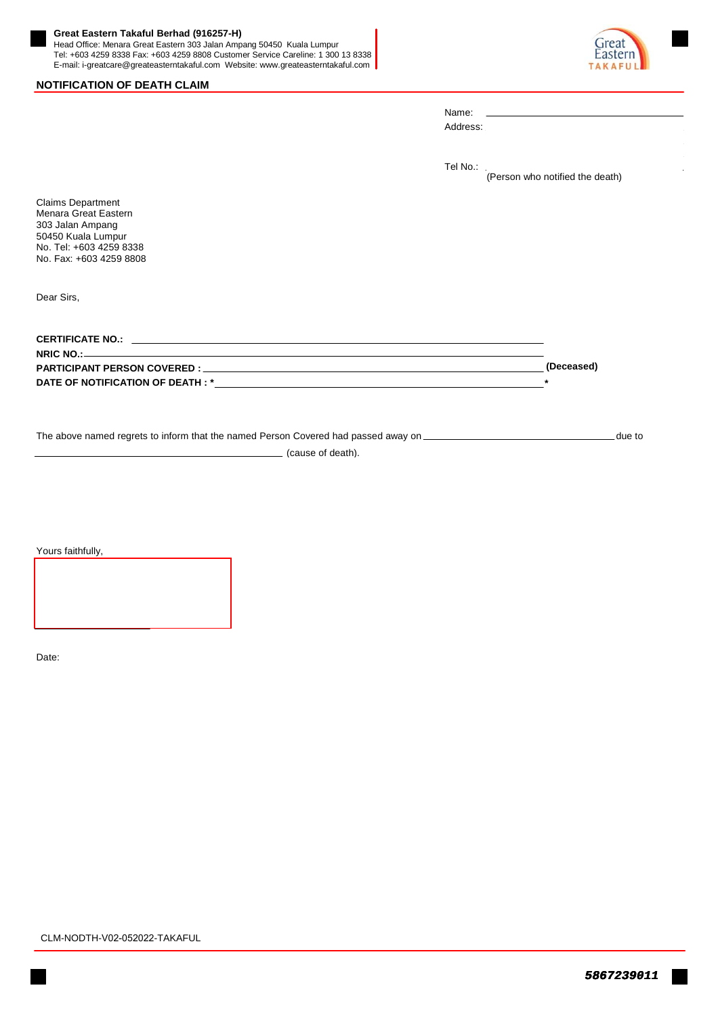## **Great Eastern Takaful Berhad (916257-H)**

Head Office: Menara Great Eastern 303 Jalan Ampang 50450 Kuala Lumpur Tel: +603 4259 8338 Fax: +603 4259 8808 Customer Service Careline: 1 300 13 8338 E-mail: i-greatcare@greateasterntakaful.com Website: www.greateasterntakaful.com





|                                                                                                                                                  | Tel No.: | (Person who notified the death) |        |
|--------------------------------------------------------------------------------------------------------------------------------------------------|----------|---------------------------------|--------|
| <b>Claims Department</b><br>Menara Great Eastern<br>303 Jalan Ampang<br>50450 Kuala Lumpur<br>No. Tel: +603 4259 8338<br>No. Fax: +603 4259 8808 |          |                                 |        |
| Dear Sirs,                                                                                                                                       |          |                                 |        |
|                                                                                                                                                  |          |                                 |        |
|                                                                                                                                                  |          | (Deceased)                      |        |
|                                                                                                                                                  |          | $\star$                         |        |
|                                                                                                                                                  |          |                                 | due to |

Name: Address:

(cause of death).

Yours faithfully,

Date: